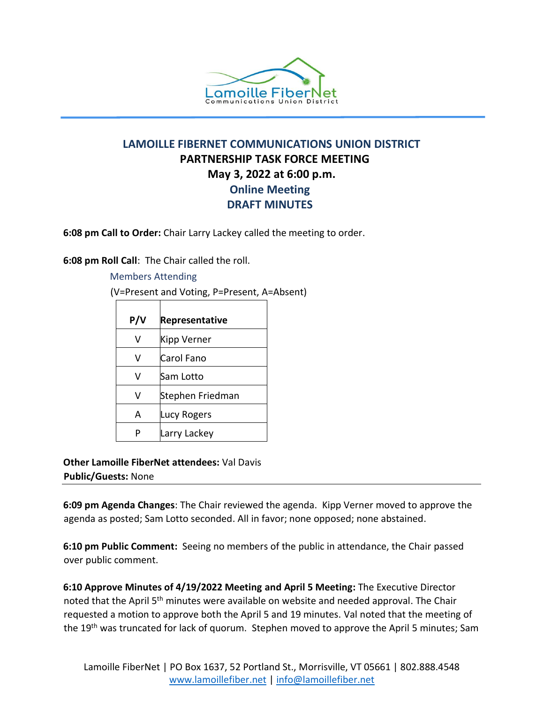

## **LAMOILLE FIBERNET COMMUNICATIONS UNION DISTRICT PARTNERSHIP TASK FORCE MEETING May 3, 2022 at 6:00 p.m. Online Meeting DRAFT MINUTES**

**6:08 pm Call to Order:** Chair Larry Lackey called the meeting to order.

**6:08 pm Roll Call**: The Chair called the roll.

Members Attending (V=Present and Voting, P=Present, A=Absent)

| P/V | <b>Representative</b> |
|-----|-----------------------|
| v   | Kipp Verner           |
| v   | Carol Fano            |
| v   | Sam Lotto             |
| v   | Stephen Friedman      |
| А   | <b>Lucy Rogers</b>    |
|     | Larry Lackey          |

**Other Lamoille FiberNet attendees:** Val Davis **Public/Guests:** None

**6:09 pm Agenda Changes**: The Chair reviewed the agenda. Kipp Verner moved to approve the agenda as posted; Sam Lotto seconded. All in favor; none opposed; none abstained.

**6:10 pm Public Comment:** Seeing no members of the public in attendance, the Chair passed over public comment.

**6:10 Approve Minutes of 4/19/2022 Meeting and April 5 Meeting:** The Executive Director noted that the April 5<sup>th</sup> minutes were available on website and needed approval. The Chair requested a motion to approve both the April 5 and 19 minutes. Val noted that the meeting of the 19<sup>th</sup> was truncated for lack of quorum. Stephen moved to approve the April 5 minutes; Sam